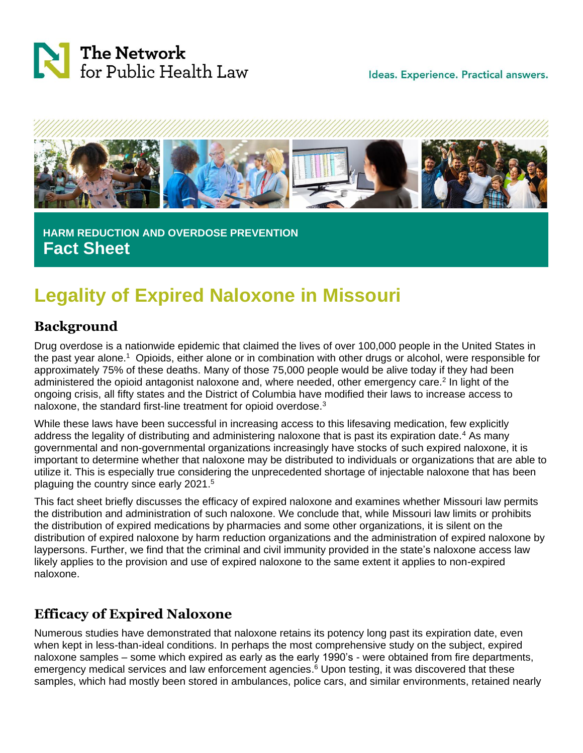

Ideas. Experience. Practical answers.



 **HARM REDUCTION AND OVERDOSE PREVENTION Fact Sheet**

# **Legality of Expired Naloxone in Missouri**

# **Background**

Drug overdose is a nationwide epidemic that claimed the lives of over 100,000 people in the United States in the past year alone.<sup>1</sup> Opioids, either alone or in combination with other drugs or alcohol, were responsible for approximately 75% of these deaths. Many of those 75,000 people would be alive today if they had been administered the opioid antagonist naloxone and, where needed, other emergency care.<sup>2</sup> In light of the ongoing crisis, all fifty states and the District of Columbia have modified their laws to increase access to naloxone, the standard first-line treatment for opioid overdose.<sup>3</sup>

While these laws have been successful in increasing access to this lifesaving medication, few explicitly address the legality of distributing and administering naloxone that is past its expiration date.<sup>4</sup> As many governmental and non-governmental organizations increasingly have stocks of such expired naloxone, it is important to determine whether that naloxone may be distributed to individuals or organizations that are able to utilize it. This is especially true considering the unprecedented shortage of injectable naloxone that has been plaguing the country since early 2021.<sup>5</sup>

This fact sheet briefly discusses the efficacy of expired naloxone and examines whether Missouri law permits the distribution and administration of such naloxone. We conclude that, while Missouri law limits or prohibits the distribution of expired medications by pharmacies and some other organizations, it is silent on the distribution of expired naloxone by harm reduction organizations and the administration of expired naloxone by laypersons. Further, we find that the criminal and civil immunity provided in the state's naloxone access law likely applies to the provision and use of expired naloxone to the same extent it applies to non-expired naloxone.

## **Efficacy of Expired Naloxone**

Numerous studies have demonstrated that naloxone retains its potency long past its expiration date, even when kept in less-than-ideal conditions. In perhaps the most comprehensive study on the subject, expired naloxone samples – some which expired as early as the early 1990's - were obtained from fire departments, emergency medical services and law enforcement agencies. <sup>6</sup> Upon testing, it was discovered that these samples, which had mostly been stored in ambulances, police cars, and similar environments, retained nearly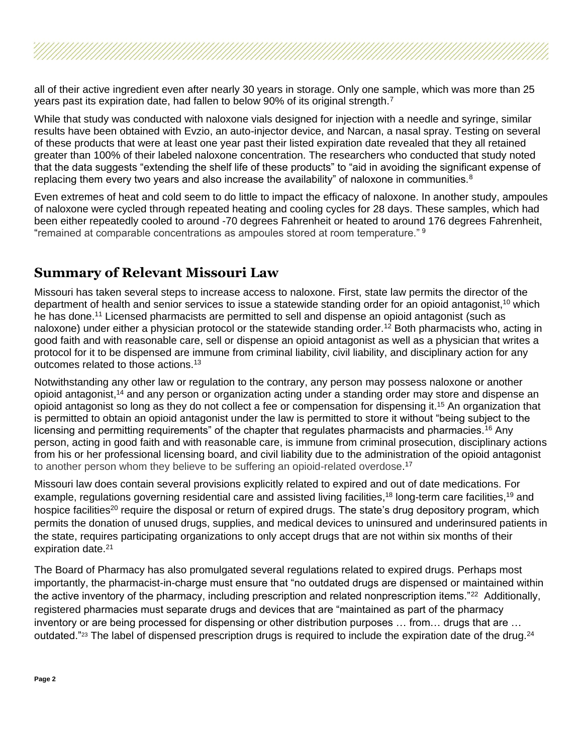all of their active ingredient even after nearly 30 years in storage. Only one sample, which was more than 25 years past its expiration date, had fallen to below 90% of its original strength.<sup>7</sup>

While that study was conducted with naloxone vials designed for injection with a needle and syringe, similar results have been obtained with Evzio, an auto-injector device, and Narcan, a nasal spray. Testing on several of these products that were at least one year past their listed expiration date revealed that they all retained greater than 100% of their labeled naloxone concentration. The researchers who conducted that study noted that the data suggests "extending the shelf life of these products" to "aid in avoiding the significant expense of replacing them every two years and also increase the availability" of naloxone in communities. $8$ 

Even extremes of heat and cold seem to do little to impact the efficacy of naloxone. In another study, ampoules of naloxone were cycled through repeated heating and cooling cycles for 28 days. These samples, which had been either repeatedly cooled to around -70 degrees Fahrenheit or heated to around 176 degrees Fahrenheit, "remained at comparable concentrations as ampoules stored at room temperature." <sup>9</sup>

### **Summary of Relevant Missouri Law**

Missouri has taken several steps to increase access to naloxone. First, state law permits the director of the department of health and senior services to issue a statewide standing order for an opioid antagonist,<sup>10</sup> which he has done.<sup>11</sup> Licensed pharmacists are permitted to sell and dispense an opioid antagonist (such as naloxone) under either a physician protocol or the statewide standing order.<sup>12</sup> Both pharmacists who, acting in good faith and with reasonable care, sell or dispense an opioid antagonist as well as a physician that writes a protocol for it to be dispensed are immune from criminal liability, civil liability, and disciplinary action for any outcomes related to those actions.<sup>13</sup>

Notwithstanding any other law or regulation to the contrary, any person may possess naloxone or another opioid antagonist,<sup>14</sup> and any person or organization acting under a standing order may store and dispense an opioid antagonist so long as they do not collect a fee or compensation for dispensing it. <sup>15</sup> An organization that is permitted to obtain an opioid antagonist under the law is permitted to store it without "being subject to the licensing and permitting requirements" of the chapter that regulates pharmacists and pharmacies.<sup>16</sup> Any person, acting in good faith and with reasonable care, is immune from criminal prosecution, disciplinary actions from his or her professional licensing board, and civil liability due to the administration of the opioid antagonist to another person whom they believe to be suffering an opioid-related overdose.<sup>17</sup>

Missouri law does contain several provisions explicitly related to expired and out of date medications. For example, regulations governing residential care and assisted living facilities,<sup>18</sup> long-term care facilities,<sup>19</sup> and hospice facilities<sup>20</sup> require the disposal or return of expired drugs. The state's drug depository program, which permits the donation of unused drugs, supplies, and medical devices to uninsured and underinsured patients in the state, requires participating organizations to only accept drugs that are not within six months of their expiration date.<sup>21</sup>

The Board of Pharmacy has also promulgated several regulations related to expired drugs. Perhaps most importantly, the pharmacist-in-charge must ensure that "no outdated drugs are dispensed or maintained within the active inventory of the pharmacy, including prescription and related nonprescription items."<sup>22</sup> Additionally, registered pharmacies must separate drugs and devices that are "maintained as part of the pharmacy inventory or are being processed for dispensing or other distribution purposes … from… drugs that are … outdated."<sup>23</sup> The label of dispensed prescription drugs is required to include the expiration date of the drug.<sup>24</sup>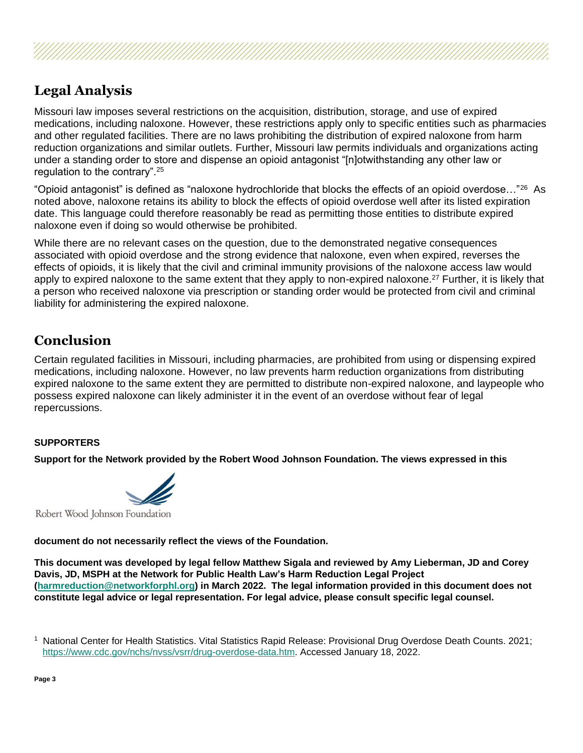

Missouri law imposes several restrictions on the acquisition, distribution, storage, and use of expired medications, including naloxone. However, these restrictions apply only to specific entities such as pharmacies and other regulated facilities. There are no laws prohibiting the distribution of expired naloxone from harm reduction organizations and similar outlets. Further, Missouri law permits individuals and organizations acting under a standing order to store and dispense an opioid antagonist "[n]otwithstanding any other law or regulation to the contrary".<sup>25</sup>

"Opioid antagonist" is defined as "naloxone hydrochloride that blocks the effects of an opioid overdose..."<sup>26</sup> As noted above, naloxone retains its ability to block the effects of opioid overdose well after its listed expiration date. This language could therefore reasonably be read as permitting those entities to distribute expired naloxone even if doing so would otherwise be prohibited.

While there are no relevant cases on the question, due to the demonstrated negative consequences associated with opioid overdose and the strong evidence that naloxone, even when expired, reverses the effects of opioids, it is likely that the civil and criminal immunity provisions of the naloxone access law would apply to expired naloxone to the same extent that they apply to non-expired naloxone.<sup>27</sup> Further, it is likely that a person who received naloxone via prescription or standing order would be protected from civil and criminal liability for administering the expired naloxone.

### **Conclusion**

Certain regulated facilities in Missouri, including pharmacies, are prohibited from using or dispensing expired medications, including naloxone. However, no law prevents harm reduction organizations from distributing expired naloxone to the same extent they are permitted to distribute non-expired naloxone, and laypeople who possess expired naloxone can likely administer it in the event of an overdose without fear of legal repercussions.

#### **SUPPORTERS**

**Support for the Network provided by the Robert Wood Johnson Foundation. The views expressed in this**



Robert Wood Johnson Foundation

**document do not necessarily reflect the views of the Foundation.**

**This document was developed by legal fellow Matthew Sigala and reviewed by Amy Lieberman, JD and Corey Davis, JD, MSPH at the Network for Public Health Law's Harm Reduction Legal Project [\(harmreduction@networkforphl.org\)](mailto:harmreduction@networkforphl.org) in March 2022. The legal information provided in this document does not constitute legal advice or legal representation. For legal advice, please consult specific legal counsel.**

<sup>1</sup> National Center for Health Statistics. Vital Statistics Rapid Release: Provisional Drug Overdose Death Counts. 2021; [https://www.cdc.gov/nchs/nvss/vsrr/drug-overdose-data.htm.](https://www.cdc.gov/nchs/nvss/vsrr/drug-overdose-data.htm) Accessed January 18, 2022.